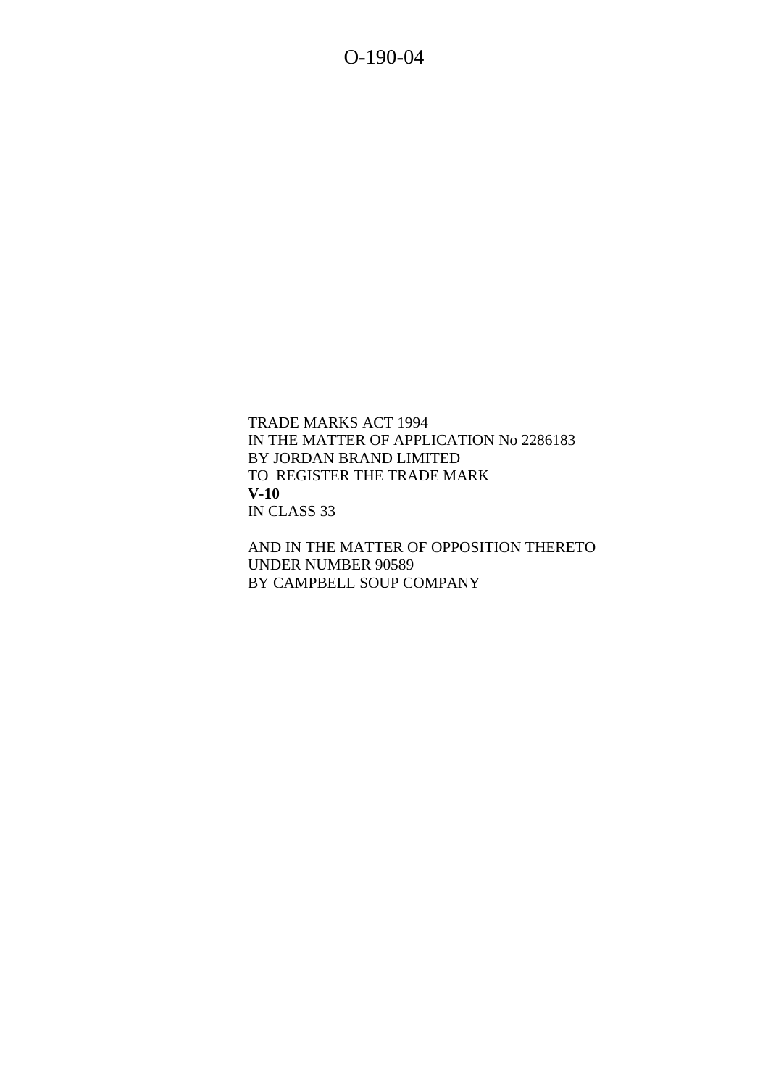O-190-04

TRADE MARKS ACT 1994 IN THE MATTER OF APPLICATION No 2286183 BY JORDAN BRAND LIMITED TO REGISTER THE TRADE MARK **V-10** IN CLASS 33

AND IN THE MATTER OF OPPOSITION THERETO UNDER NUMBER 90589 BY CAMPBELL SOUP COMPANY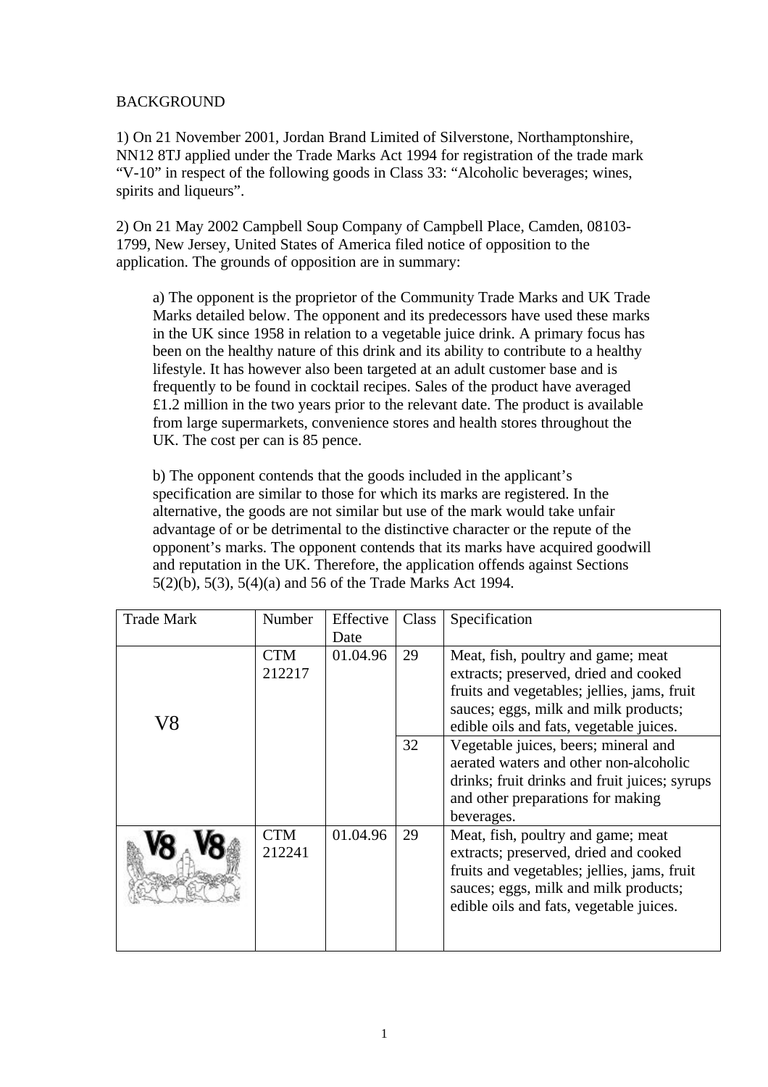### BACKGROUND

1) On 21 November 2001, Jordan Brand Limited of Silverstone, Northamptonshire, NN12 8TJ applied under the Trade Marks Act 1994 for registration of the trade mark "V-10" in respect of the following goods in Class 33: "Alcoholic beverages; wines, spirits and liqueurs".

2) On 21 May 2002 Campbell Soup Company of Campbell Place, Camden, 08103- 1799, New Jersey, United States of America filed notice of opposition to the application. The grounds of opposition are in summary:

a) The opponent is the proprietor of the Community Trade Marks and UK Trade Marks detailed below. The opponent and its predecessors have used these marks in the UK since 1958 in relation to a vegetable juice drink. A primary focus has been on the healthy nature of this drink and its ability to contribute to a healthy lifestyle. It has however also been targeted at an adult customer base and is frequently to be found in cocktail recipes. Sales of the product have averaged £1.2 million in the two years prior to the relevant date. The product is available from large supermarkets, convenience stores and health stores throughout the UK. The cost per can is 85 pence.

b) The opponent contends that the goods included in the applicant's specification are similar to those for which its marks are registered. In the alternative, the goods are not similar but use of the mark would take unfair advantage of or be detrimental to the distinctive character or the repute of the opponent's marks. The opponent contends that its marks have acquired goodwill and reputation in the UK. Therefore, the application offends against Sections 5(2)(b), 5(3), 5(4)(a) and 56 of the Trade Marks Act 1994.

| <b>Trade Mark</b> | Number               | Effective | Class | Specification                                                                                                                                                                                                  |
|-------------------|----------------------|-----------|-------|----------------------------------------------------------------------------------------------------------------------------------------------------------------------------------------------------------------|
|                   |                      | Date      |       |                                                                                                                                                                                                                |
| V8                | <b>CTM</b><br>212217 | 01.04.96  | 29    | Meat, fish, poultry and game; meat<br>extracts; preserved, dried and cooked                                                                                                                                    |
|                   |                      |           |       | fruits and vegetables; jellies, jams, fruit                                                                                                                                                                    |
|                   |                      |           |       | sauces; eggs, milk and milk products;<br>edible oils and fats, vegetable juices.                                                                                                                               |
|                   |                      |           | 32    | Vegetable juices, beers; mineral and<br>aerated waters and other non-alcoholic<br>drinks; fruit drinks and fruit juices; syrups<br>and other preparations for making<br>beverages.                             |
|                   | CTM<br>212241        | 01.04.96  | 29    | Meat, fish, poultry and game; meat<br>extracts; preserved, dried and cooked<br>fruits and vegetables; jellies, jams, fruit<br>sauces; eggs, milk and milk products;<br>edible oils and fats, vegetable juices. |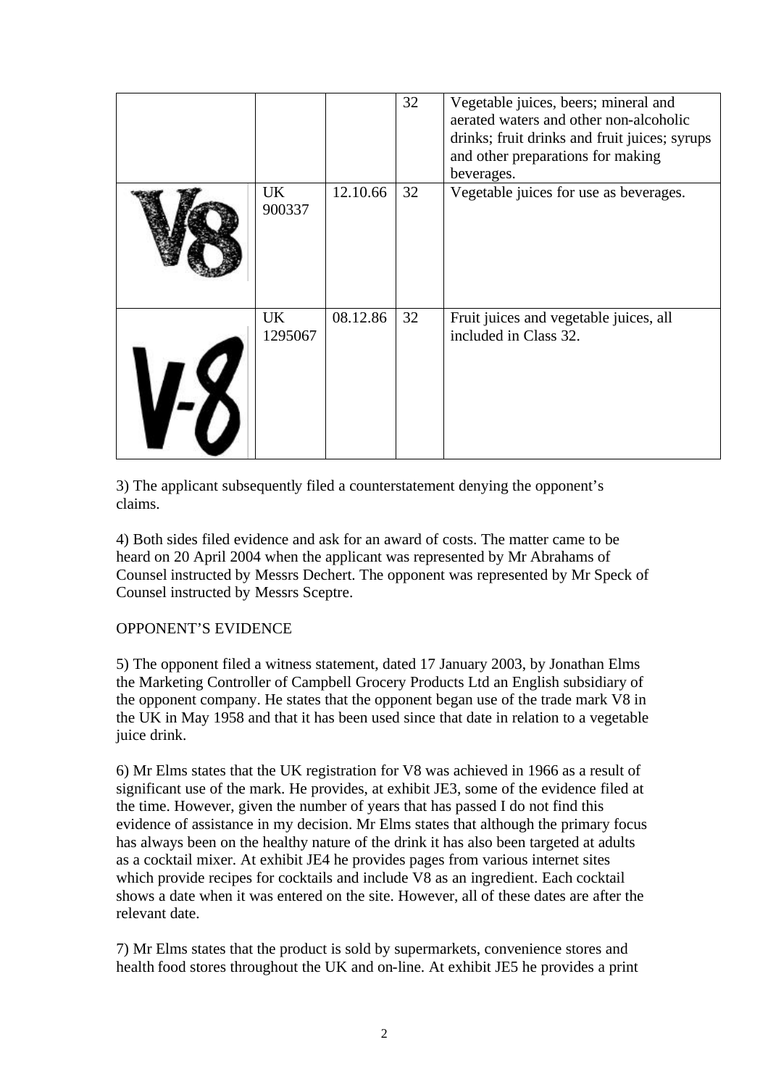|    |               |          | 32 | Vegetable juices, beers; mineral and<br>aerated waters and other non-alcoholic<br>drinks; fruit drinks and fruit juices; syrups<br>and other preparations for making<br>beverages. |
|----|---------------|----------|----|------------------------------------------------------------------------------------------------------------------------------------------------------------------------------------|
|    | UK<br>900337  | 12.10.66 | 32 | Vegetable juices for use as beverages.                                                                                                                                             |
| -7 | UK<br>1295067 | 08.12.86 | 32 | Fruit juices and vegetable juices, all<br>included in Class 32.                                                                                                                    |

3) The applicant subsequently filed a counterstatement denying the opponent's claims.

4) Both sides filed evidence and ask for an award of costs. The matter came to be heard on 20 April 2004 when the applicant was represented by Mr Abrahams of Counsel instructed by Messrs Dechert. The opponent was represented by Mr Speck of Counsel instructed by Messrs Sceptre.

# OPPONENT'S EVIDENCE

5) The opponent filed a witness statement, dated 17 January 2003, by Jonathan Elms the Marketing Controller of Campbell Grocery Products Ltd an English subsidiary of the opponent company. He states that the opponent began use of the trade mark V8 in the UK in May 1958 and that it has been used since that date in relation to a vegetable juice drink.

6) Mr Elms states that the UK registration for V8 was achieved in 1966 as a result of significant use of the mark. He provides, at exhibit JE3, some of the evidence filed at the time. However, given the number of years that has passed I do not find this evidence of assistance in my decision. Mr Elms states that although the primary focus has always been on the healthy nature of the drink it has also been targeted at adults as a cocktail mixer. At exhibit JE4 he provides pages from various internet sites which provide recipes for cocktails and include V8 as an ingredient. Each cocktail shows a date when it was entered on the site. However, all of these dates are after the relevant date.

7) Mr Elms states that the product is sold by supermarkets, convenience stores and health food stores throughout the UK and on-line. At exhibit JE5 he provides a print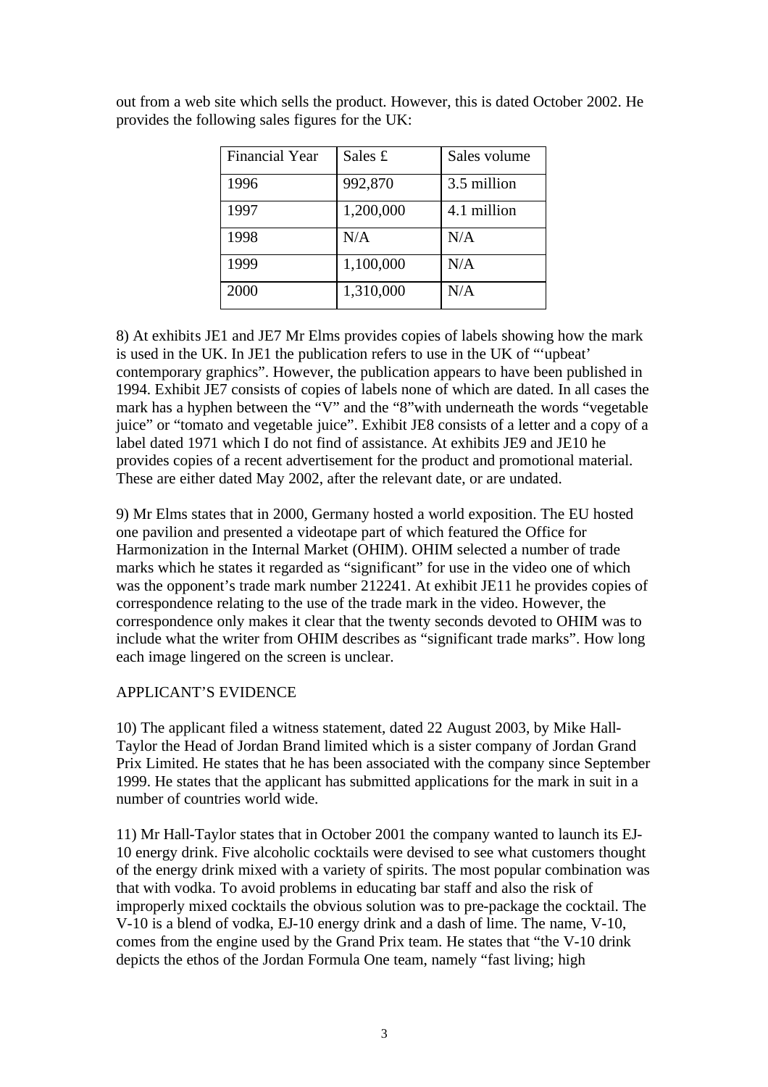| <b>Financial Year</b> | Sales £   | Sales volume |
|-----------------------|-----------|--------------|
| 1996                  | 992,870   | 3.5 million  |
| 1997                  | 1,200,000 | 4.1 million  |
| 1998                  | N/A       | N/A          |
| 1999                  | 1,100,000 | N/A          |
| 2000                  | 1,310,000 | N/A          |

out from a web site which sells the product. However, this is dated October 2002. He provides the following sales figures for the UK:

8) At exhibits JE1 and JE7 Mr Elms provides copies of labels showing how the mark is used in the UK. In JE1 the publication refers to use in the UK of "'upbeat' contemporary graphics". However, the publication appears to have been published in 1994. Exhibit JE7 consists of copies of labels none of which are dated. In all cases the mark has a hyphen between the "V" and the "8"with underneath the words "vegetable juice" or "tomato and vegetable juice". Exhibit JE8 consists of a letter and a copy of a label dated 1971 which I do not find of assistance. At exhibits JE9 and JE10 he provides copies of a recent advertisement for the product and promotional material. These are either dated May 2002, after the relevant date, or are undated.

9) Mr Elms states that in 2000, Germany hosted a world exposition. The EU hosted one pavilion and presented a videotape part of which featured the Office for Harmonization in the Internal Market (OHIM). OHIM selected a number of trade marks which he states it regarded as "significant" for use in the video one of which was the opponent's trade mark number 212241. At exhibit JE11 he provides copies of correspondence relating to the use of the trade mark in the video. However, the correspondence only makes it clear that the twenty seconds devoted to OHIM was to include what the writer from OHIM describes as "significant trade marks". How long each image lingered on the screen is unclear.

#### APPLICANT'S EVIDENCE

10) The applicant filed a witness statement, dated 22 August 2003, by Mike Hall-Taylor the Head of Jordan Brand limited which is a sister company of Jordan Grand Prix Limited. He states that he has been associated with the company since September 1999. He states that the applicant has submitted applications for the mark in suit in a number of countries world wide.

11) Mr Hall-Taylor states that in October 2001 the company wanted to launch its EJ-10 energy drink. Five alcoholic cocktails were devised to see what customers thought of the energy drink mixed with a variety of spirits. The most popular combination was that with vodka. To avoid problems in educating bar staff and also the risk of improperly mixed cocktails the obvious solution was to pre-package the cocktail. The V-10 is a blend of vodka, EJ-10 energy drink and a dash of lime. The name, V-10, comes from the engine used by the Grand Prix team. He states that "the V-10 drink depicts the ethos of the Jordan Formula One team, namely "fast living; high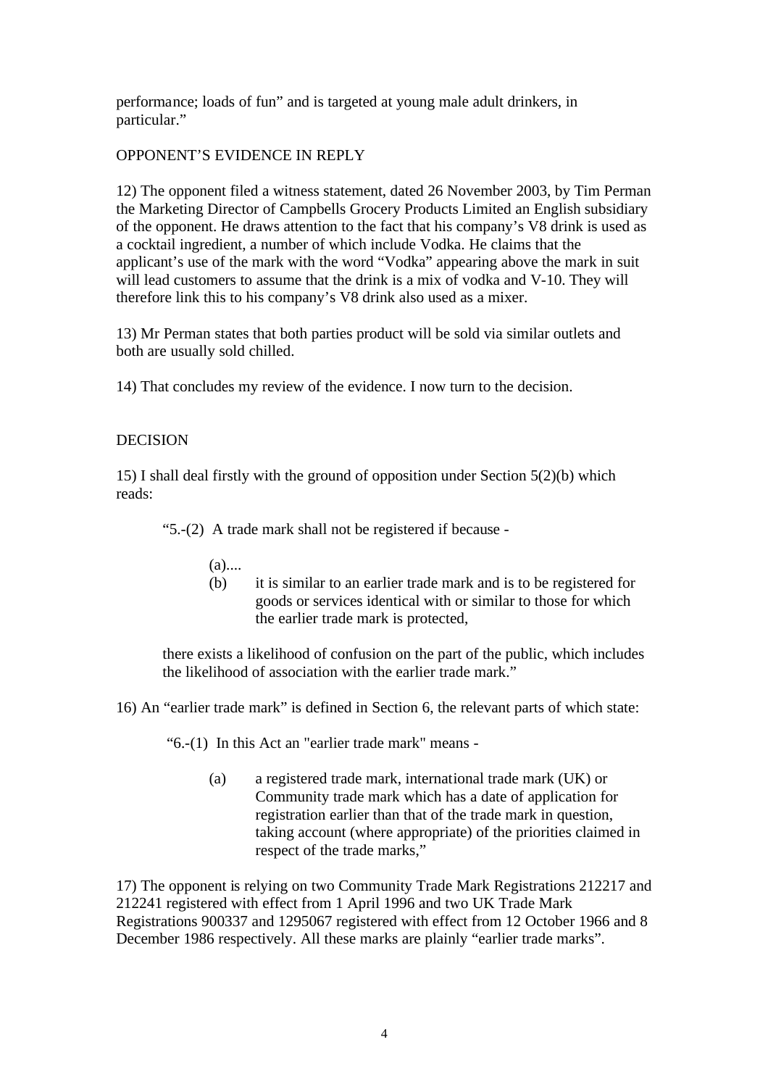performance; loads of fun" and is targeted at young male adult drinkers, in particular."

### OPPONENT'S EVIDENCE IN REPLY

12) The opponent filed a witness statement, dated 26 November 2003, by Tim Perman the Marketing Director of Campbells Grocery Products Limited an English subsidiary of the opponent. He draws attention to the fact that his company's V8 drink is used as a cocktail ingredient, a number of which include Vodka. He claims that the applicant's use of the mark with the word "Vodka" appearing above the mark in suit will lead customers to assume that the drink is a mix of vodka and V-10. They will therefore link this to his company's V8 drink also used as a mixer.

13) Mr Perman states that both parties product will be sold via similar outlets and both are usually sold chilled.

14) That concludes my review of the evidence. I now turn to the decision.

### **DECISION**

15) I shall deal firstly with the ground of opposition under Section 5(2)(b) which reads:

"5.-(2) A trade mark shall not be registered if because -

- $(a)$ ....
- (b) it is similar to an earlier trade mark and is to be registered for goods or services identical with or similar to those for which the earlier trade mark is protected,

there exists a likelihood of confusion on the part of the public, which includes the likelihood of association with the earlier trade mark."

16) An "earlier trade mark" is defined in Section 6, the relevant parts of which state:

"6.-(1) In this Act an "earlier trade mark" means -

(a) a registered trade mark, international trade mark (UK) or Community trade mark which has a date of application for registration earlier than that of the trade mark in question, taking account (where appropriate) of the priorities claimed in respect of the trade marks,"

17) The opponent is relying on two Community Trade Mark Registrations 212217 and 212241 registered with effect from 1 April 1996 and two UK Trade Mark Registrations 900337 and 1295067 registered with effect from 12 October 1966 and 8 December 1986 respectively. All these marks are plainly "earlier trade marks".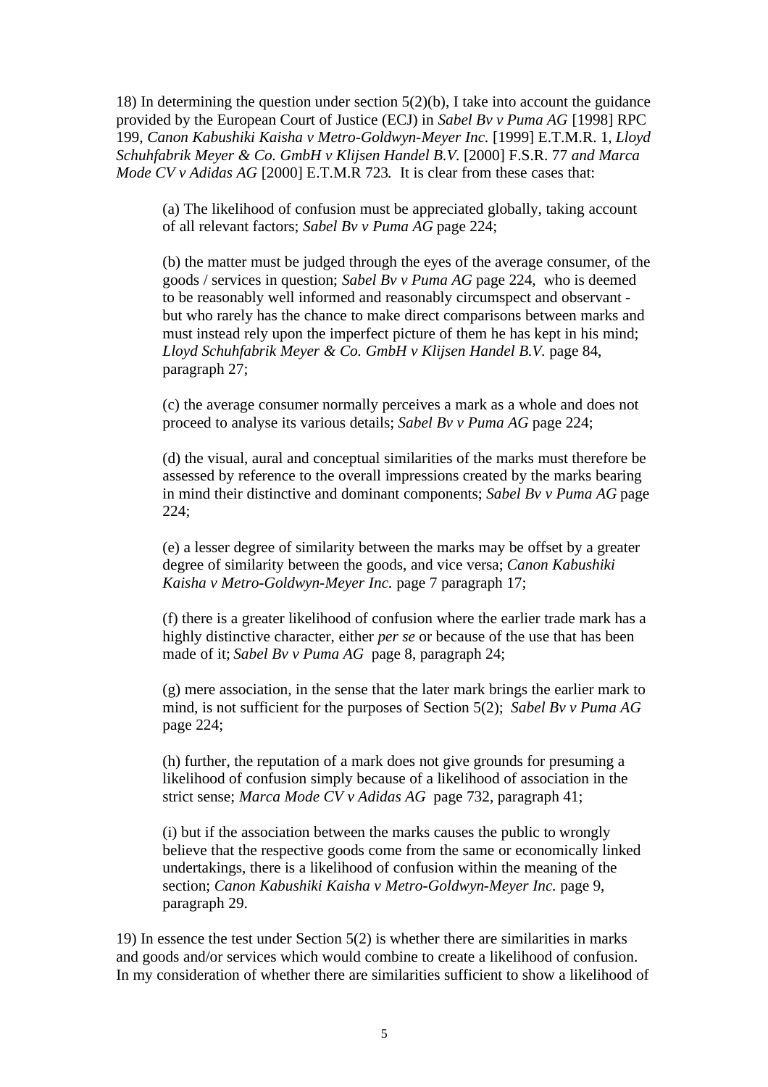18) In determining the question under section 5(2)(b), I take into account the guidance provided by the European Court of Justice (ECJ) in *Sabel Bv v Puma AG* [1998] RPC 199*, Canon Kabushiki Kaisha v Metro-Goldwyn-Meyer Inc.* [1999] E.T.M.R. 1*, Lloyd Schuhfabrik Meyer & Co. GmbH v Klijsen Handel B.V.* [2000] F.S.R. 77 *and Marca Mode CV v Adidas AG* [2000] E.T.M.R 723*.* It is clear from these cases that:

(a) The likelihood of confusion must be appreciated globally, taking account of all relevant factors; *Sabel Bv v Puma AG* page 224;

(b) the matter must be judged through the eyes of the average consumer, of the goods / services in question; *Sabel Bv v Puma AG* page 224, who is deemed to be reasonably well informed and reasonably circumspect and observant but who rarely has the chance to make direct comparisons between marks and must instead rely upon the imperfect picture of them he has kept in his mind; *Lloyd Schuhfabrik Meyer & Co. GmbH v Klijsen Handel B.V.* page 84, paragraph 27;

(c) the average consumer normally perceives a mark as a whole and does not proceed to analyse its various details; *Sabel Bv v Puma AG* page 224;

(d) the visual, aural and conceptual similarities of the marks must therefore be assessed by reference to the overall impressions created by the marks bearing in mind their distinctive and dominant components; *Sabel Bv v Puma AG* page 224;

(e) a lesser degree of similarity between the marks may be offset by a greater degree of similarity between the goods, and vice versa; *Canon Kabushiki Kaisha v Metro-Goldwyn-Meyer Inc.* page 7 paragraph 17;

(f) there is a greater likelihood of confusion where the earlier trade mark has a highly distinctive character, either *per se* or because of the use that has been made of it; *Sabel Bv v Puma AG* page 8, paragraph 24;

(g) mere association, in the sense that the later mark brings the earlier mark to mind, is not sufficient for the purposes of Section 5(2); *Sabel Bv v Puma AG* page 224;

(h) further, the reputation of a mark does not give grounds for presuming a likelihood of confusion simply because of a likelihood of association in the strict sense; *Marca Mode CV v Adidas AG* page 732, paragraph 41;

(i) but if the association between the marks causes the public to wrongly believe that the respective goods come from the same or economically linked undertakings, there is a likelihood of confusion within the meaning of the section; Canon Kabushiki Kaisha v Metro-Goldwyn-Meyer Inc. page 9, paragraph 29.

19) In essence the test under Section 5(2) is whether there are similarities in marks and goods and/or services which would combine to create a likelihood of confusion. In my consideration of whether there are similarities sufficient to show a likelihood of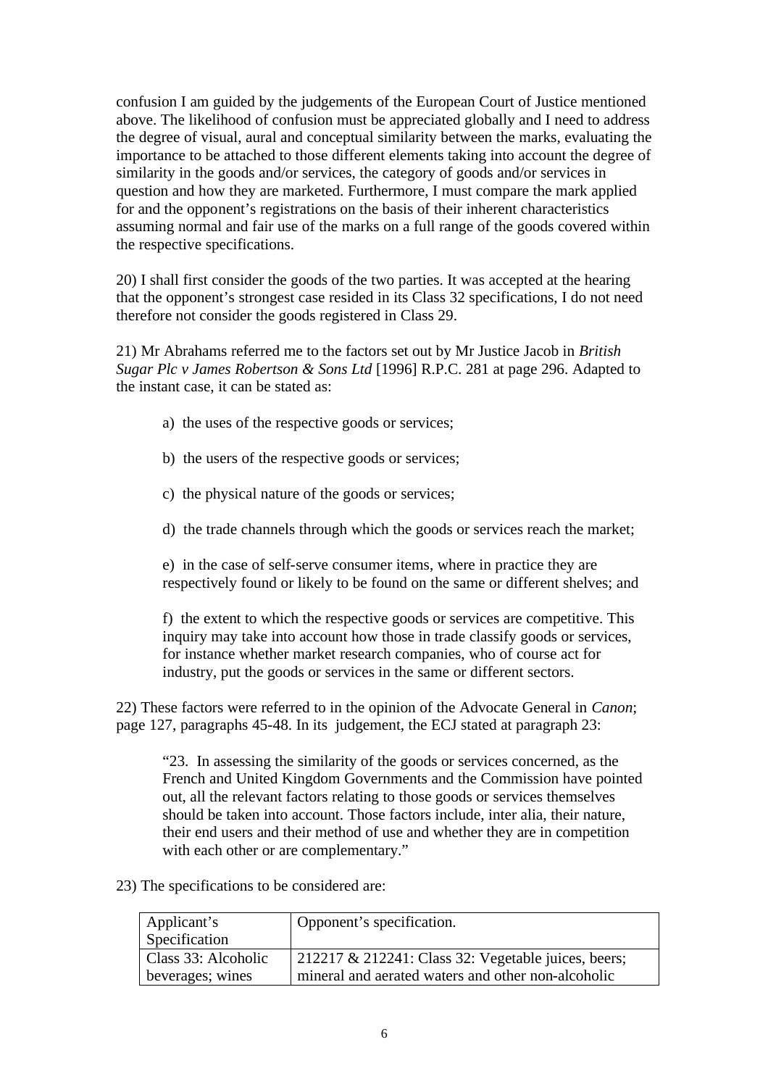confusion I am guided by the judgements of the European Court of Justice mentioned above. The likelihood of confusion must be appreciated globally and I need to address the degree of visual, aural and conceptual similarity between the marks, evaluating the importance to be attached to those different elements taking into account the degree of similarity in the goods and/or services, the category of goods and/or services in question and how they are marketed. Furthermore, I must compare the mark applied for and the opponent's registrations on the basis of their inherent characteristics assuming normal and fair use of the marks on a full range of the goods covered within the respective specifications.

20) I shall first consider the goods of the two parties. It was accepted at the hearing that the opponent's strongest case resided in its Class 32 specifications, I do not need therefore not consider the goods registered in Class 29.

21) Mr Abrahams referred me to the factors set out by Mr Justice Jacob in *British Sugar Plc v James Robertson & Sons Ltd* [1996] R.P.C. 281 at page 296. Adapted to the instant case, it can be stated as:

- a) the uses of the respective goods or services;
- b) the users of the respective goods or services;
- c) the physical nature of the goods or services;
- d) the trade channels through which the goods or services reach the market;

e) in the case of self-serve consumer items, where in practice they are respectively found or likely to be found on the same or different shelves; and

f) the extent to which the respective goods or services are competitive. This inquiry may take into account how those in trade classify goods or services, for instance whether market research companies, who of course act for industry, put the goods or services in the same or different sectors.

22) These factors were referred to in the opinion of the Advocate General in *Canon*; page 127, paragraphs 45-48. In its judgement, the ECJ stated at paragraph 23:

"23. In assessing the similarity of the goods or services concerned, as the French and United Kingdom Governments and the Commission have pointed out, all the relevant factors relating to those goods or services themselves should be taken into account. Those factors include, inter alia, their nature, their end users and their method of use and whether they are in competition with each other or are complementary."

23) The specifications to be considered are:

| Applicant's         | Opponent's specification.                               |
|---------------------|---------------------------------------------------------|
| Specification       |                                                         |
| Class 33: Alcoholic | $212217 \& 212241$ : Class 32: Vegetable juices, beers; |
| beverages; wines    | mineral and aerated waters and other non-alcoholic      |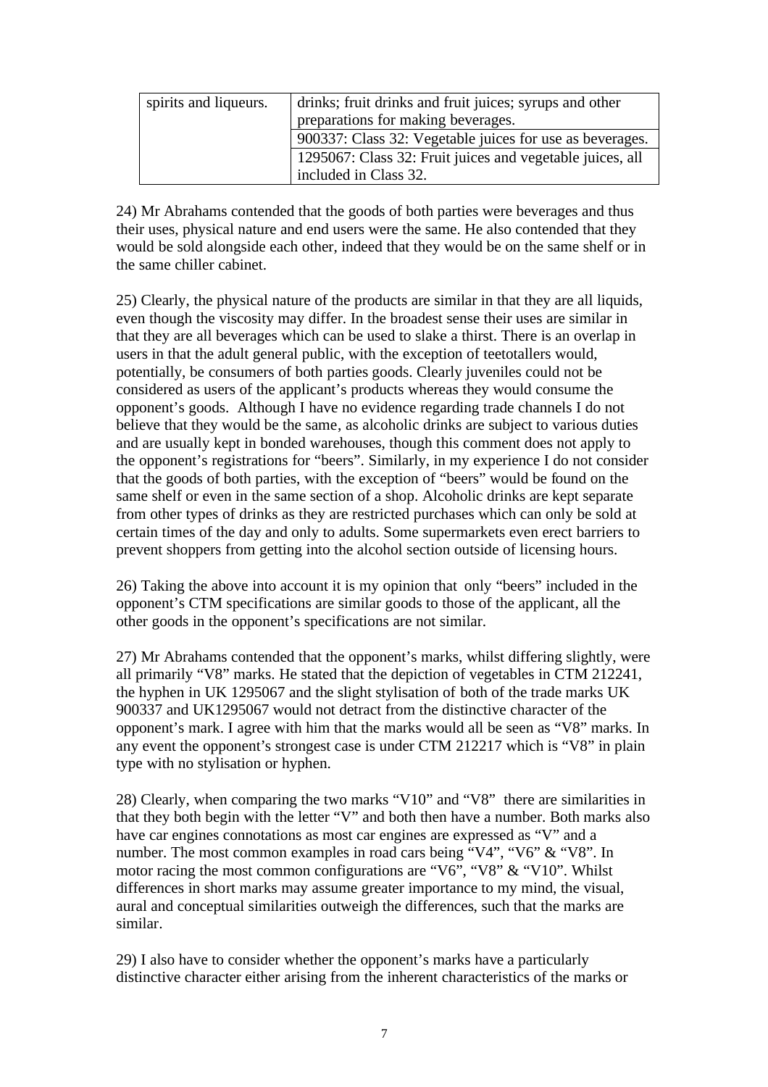| spirits and liqueurs. | drinks; fruit drinks and fruit juices; syrups and other   |  |
|-----------------------|-----------------------------------------------------------|--|
|                       | preparations for making beverages.                        |  |
|                       | 900337: Class 32: Vegetable juices for use as beverages.  |  |
|                       | 1295067: Class 32: Fruit juices and vegetable juices, all |  |
|                       | included in Class 32.                                     |  |

24) Mr Abrahams contended that the goods of both parties were beverages and thus their uses, physical nature and end users were the same. He also contended that they would be sold alongside each other, indeed that they would be on the same shelf or in the same chiller cabinet.

25) Clearly, the physical nature of the products are similar in that they are all liquids, even though the viscosity may differ. In the broadest sense their uses are similar in that they are all beverages which can be used to slake a thirst. There is an overlap in users in that the adult general public, with the exception of teetotallers would, potentially, be consumers of both parties goods. Clearly juveniles could not be considered as users of the applicant's products whereas they would consume the opponent's goods. Although I have no evidence regarding trade channels I do not believe that they would be the same, as alcoholic drinks are subject to various duties and are usually kept in bonded warehouses, though this comment does not apply to the opponent's registrations for "beers". Similarly, in my experience I do not consider that the goods of both parties, with the exception of "beers" would be found on the same shelf or even in the same section of a shop. Alcoholic drinks are kept separate from other types of drinks as they are restricted purchases which can only be sold at certain times of the day and only to adults. Some supermarkets even erect barriers to prevent shoppers from getting into the alcohol section outside of licensing hours.

26) Taking the above into account it is my opinion that only "beers" included in the opponent's CTM specifications are similar goods to those of the applicant, all the other goods in the opponent's specifications are not similar.

27) Mr Abrahams contended that the opponent's marks, whilst differing slightly, were all primarily "V8" marks. He stated that the depiction of vegetables in CTM 212241, the hyphen in UK 1295067 and the slight stylisation of both of the trade marks UK 900337 and UK1295067 would not detract from the distinctive character of the opponent's mark. I agree with him that the marks would all be seen as "V8" marks. In any event the opponent's strongest case is under CTM 212217 which is "V8" in plain type with no stylisation or hyphen.

28) Clearly, when comparing the two marks "V10" and "V8" there are similarities in that they both begin with the letter "V" and both then have a number. Both marks also have car engines connotations as most car engines are expressed as "V" and a number. The most common examples in road cars being "V4", "V6" & "V8". In motor racing the most common configurations are "V6", "V8"  $\&$  "V10". Whilst differences in short marks may assume greater importance to my mind, the visual, aural and conceptual similarities outweigh the differences, such that the marks are similar.

29) I also have to consider whether the opponent's marks have a particularly distinctive character either arising from the inherent characteristics of the marks or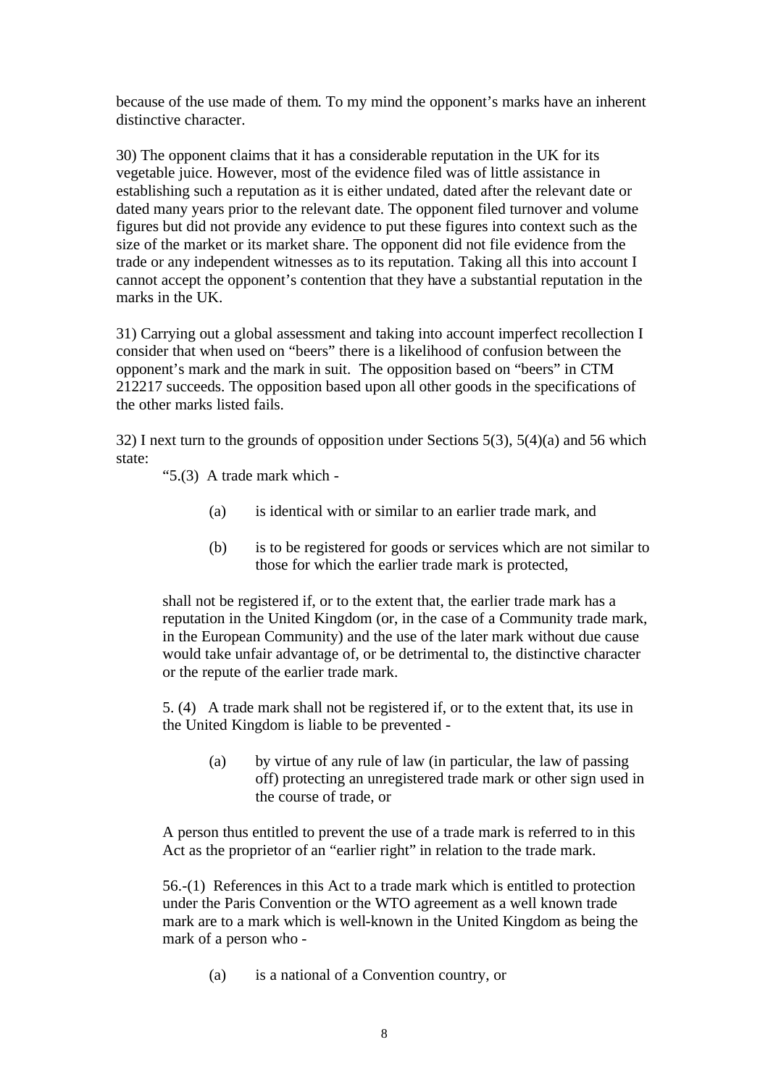because of the use made of them. To my mind the opponent's marks have an inherent distinctive character.

30) The opponent claims that it has a considerable reputation in the UK for its vegetable juice. However, most of the evidence filed was of little assistance in establishing such a reputation as it is either undated, dated after the relevant date or dated many years prior to the relevant date. The opponent filed turnover and volume figures but did not provide any evidence to put these figures into context such as the size of the market or its market share. The opponent did not file evidence from the trade or any independent witnesses as to its reputation. Taking all this into account I cannot accept the opponent's contention that they have a substantial reputation in the marks in the UK.

31) Carrying out a global assessment and taking into account imperfect recollection I consider that when used on "beers" there is a likelihood of confusion between the opponent's mark and the mark in suit. The opposition based on "beers" in CTM 212217 succeeds. The opposition based upon all other goods in the specifications of the other marks listed fails.

32) I next turn to the grounds of opposition under Sections 5(3), 5(4)(a) and 56 which state:

"5.(3) A trade mark which -

- (a) is identical with or similar to an earlier trade mark, and
- (b) is to be registered for goods or services which are not similar to those for which the earlier trade mark is protected,

shall not be registered if, or to the extent that, the earlier trade mark has a reputation in the United Kingdom (or, in the case of a Community trade mark, in the European Community) and the use of the later mark without due cause would take unfair advantage of, or be detrimental to, the distinctive character or the repute of the earlier trade mark.

5. (4) A trade mark shall not be registered if, or to the extent that, its use in the United Kingdom is liable to be prevented -

(a) by virtue of any rule of law (in particular, the law of passing off) protecting an unregistered trade mark or other sign used in the course of trade, or

A person thus entitled to prevent the use of a trade mark is referred to in this Act as the proprietor of an "earlier right" in relation to the trade mark.

56.-(1) References in this Act to a trade mark which is entitled to protection under the Paris Convention or the WTO agreement as a well known trade mark are to a mark which is well-known in the United Kingdom as being the mark of a person who -

(a) is a national of a Convention country, or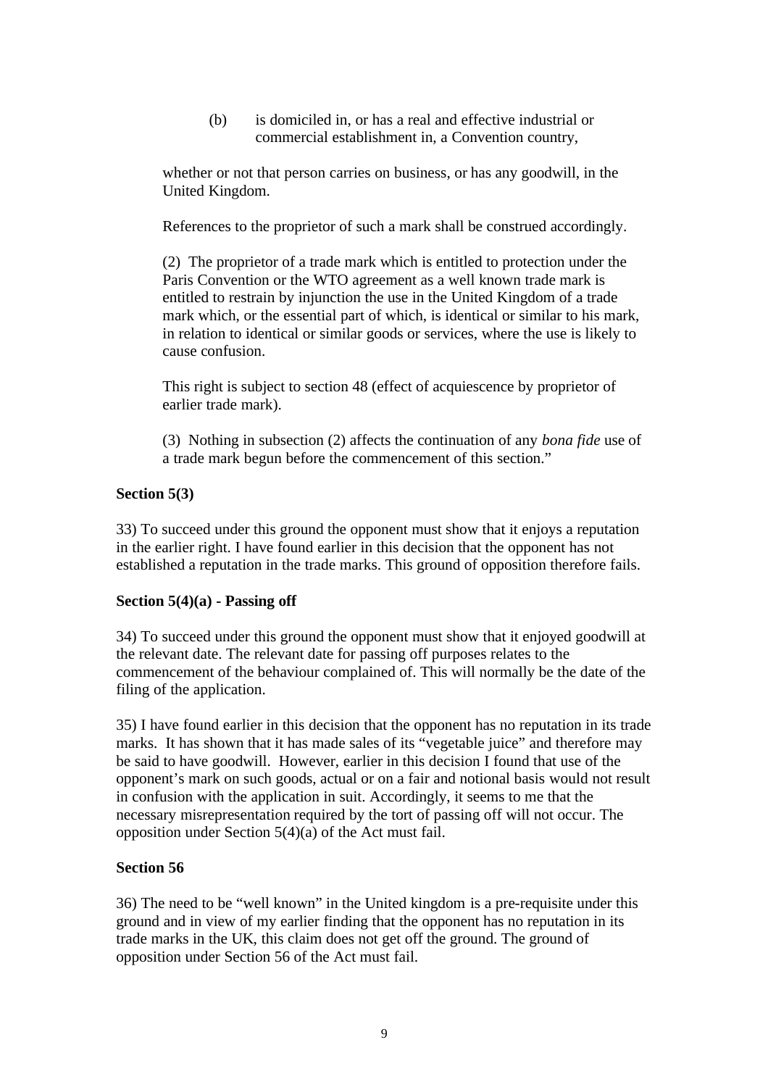(b) is domiciled in, or has a real and effective industrial or commercial establishment in, a Convention country,

whether or not that person carries on business, or has any goodwill, in the United Kingdom.

References to the proprietor of such a mark shall be construed accordingly.

(2) The proprietor of a trade mark which is entitled to protection under the Paris Convention or the WTO agreement as a well known trade mark is entitled to restrain by injunction the use in the United Kingdom of a trade mark which, or the essential part of which, is identical or similar to his mark, in relation to identical or similar goods or services, where the use is likely to cause confusion.

This right is subject to section 48 (effect of acquiescence by proprietor of earlier trade mark).

(3) Nothing in subsection (2) affects the continuation of any *bona fide* use of a trade mark begun before the commencement of this section."

# **Section 5(3)**

33) To succeed under this ground the opponent must show that it enjoys a reputation in the earlier right. I have found earlier in this decision that the opponent has not established a reputation in the trade marks. This ground of opposition therefore fails.

#### **Section 5(4)(a) - Passing off**

34) To succeed under this ground the opponent must show that it enjoyed goodwill at the relevant date. The relevant date for passing off purposes relates to the commencement of the behaviour complained of. This will normally be the date of the filing of the application.

35) I have found earlier in this decision that the opponent has no reputation in its trade marks. It has shown that it has made sales of its "vegetable juice" and therefore may be said to have goodwill. However, earlier in this decision I found that use of the opponent's mark on such goods, actual or on a fair and notional basis would not result in confusion with the application in suit. Accordingly, it seems to me that the necessary misrepresentation required by the tort of passing off will not occur. The opposition under Section 5(4)(a) of the Act must fail.

# **Section 56**

36) The need to be "well known" in the United kingdom is a pre-requisite under this ground and in view of my earlier finding that the opponent has no reputation in its trade marks in the UK, this claim does not get off the ground. The ground of opposition under Section 56 of the Act must fail.